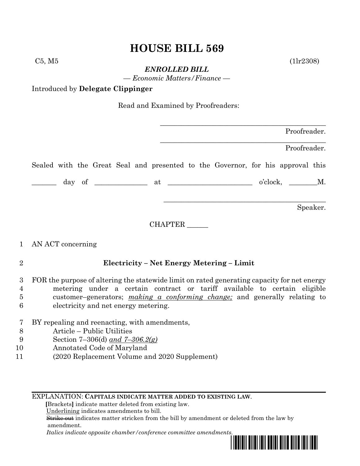# **HOUSE BILL 569**

 $C5, M5$  (1lr2308)

*ENROLLED BILL*

*— Economic Matters/Finance —*

Introduced by **Delegate Clippinger**

Read and Examined by Proofreaders:

| Proofreader. |
|--------------|
|              |

\_\_\_\_\_\_\_\_\_\_\_\_\_\_\_\_\_\_\_\_\_\_\_\_\_\_\_\_\_\_\_\_\_\_\_\_\_\_\_\_\_\_\_\_\_\_\_

\_\_\_\_\_\_\_\_\_\_\_\_\_\_\_\_\_\_\_\_\_\_\_\_\_\_\_\_\_\_\_\_\_\_\_\_\_\_\_\_\_\_\_\_\_\_\_

\_\_\_\_\_\_\_\_\_\_\_\_\_\_\_\_\_\_\_\_\_\_\_\_\_\_\_\_\_\_\_\_\_\_\_\_\_\_\_\_\_\_\_\_\_\_

Proofreader.

Sealed with the Great Seal and presented to the Governor, for his approval this

\_\_\_\_\_\_\_ day of \_\_\_\_\_\_\_\_\_\_\_\_\_\_\_ at \_\_\_\_\_\_\_\_\_\_\_\_\_\_\_\_\_\_\_\_\_\_\_\_ o'clock, \_\_\_\_\_\_\_\_M.

Speaker.

CHAPTER \_\_\_\_\_\_

## 1 AN ACT concerning

## 2 **Electricity – Net Energy Metering – Limit**

 FOR the purpose of altering the statewide limit on rated generating capacity for net energy metering under a certain contract or tariff available to certain eligible customer–generators; *making a conforming change;* and generally relating to electricity and net energy metering.

- 7 BY repealing and reenacting, with amendments,
- 8 Article Public Utilities
- 9 Section 7–306(d) *and 7–306.2(g)*
- 10 Annotated Code of Maryland
- 11 (2020 Replacement Volume and 2020 Supplement)

### EXPLANATION: **CAPITALS INDICATE MATTER ADDED TO EXISTING LAW**.

 **[**Brackets**]** indicate matter deleted from existing law.

Underlining indicates amendments to bill.

 Strike out indicates matter stricken from the bill by amendment or deleted from the law by amendment.

 *Italics indicate opposite chamber/conference committee amendments.*